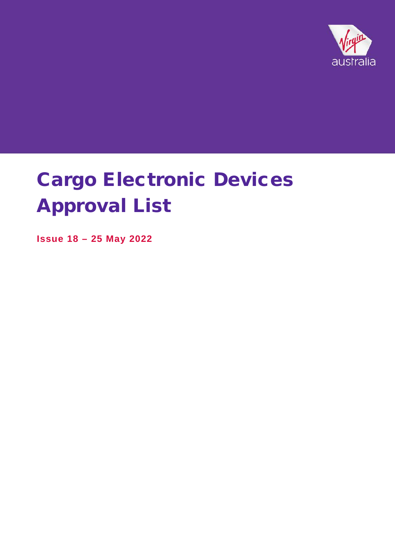

**Issue 18 – 25 May 2022**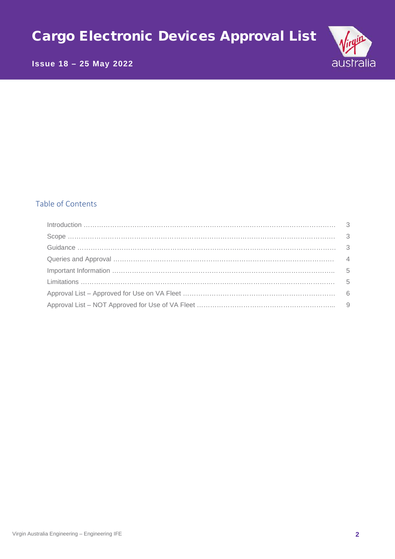# australia

# **Issue 18 – 25 May 2022**

# Table of Contents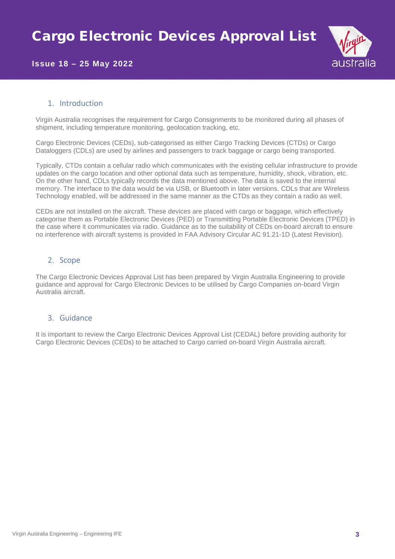

#### 1. Introduction

Virgin Australia recognises the requirement for Cargo Consignments to be monitored during all phases of shipment, including temperature monitoring, geolocation tracking, etc.

Cargo Electronic Devices (CEDs), sub-categorised as either Cargo Tracking Devices (CTDs) or Cargo Dataloggers (CDLs) are used by airlines and passengers to track baggage or cargo being transported.

Typically, CTDs contain a cellular radio which communicates with the existing cellular infrastructure to provide updates on the cargo location and other optional data such as temperature, humidity, shock, vibration, etc. On the other hand, CDLs typically records the data mentioned above. The data is saved to the internal memory. The interface to the data would be via USB, or Bluetooth in later versions. CDLs that are Wireless Technology enabled, will be addressed in the same manner as the CTDs as they contain a radio as well.

CEDs are not installed on the aircraft. These devices are placed with cargo or baggage, which effectively categorise them as Portable Electronic Devices (PED) or Transmitting Portable Electronic Devices (TPED) in the case where it communicates via radio. Guidance as to the suitability of CEDs on-board aircraft to ensure no interference with aircraft systems is provided in FAA Advisory Circular AC 91.21-1D (Latest Revision).

#### 2. Scope

The Cargo Electronic Devices Approval List has been prepared by Virgin Australia Engineering to provide guidance and approval for Cargo Electronic Devices to be utilised by Cargo Companies on-board Virgin Australia aircraft.

#### 3. Guidance

It is important to review the Cargo Electronic Devices Approval List (CEDAL) before providing authority for Cargo Electronic Devices (CEDs) to be attached to Cargo carried on-board Virgin Australia aircraft.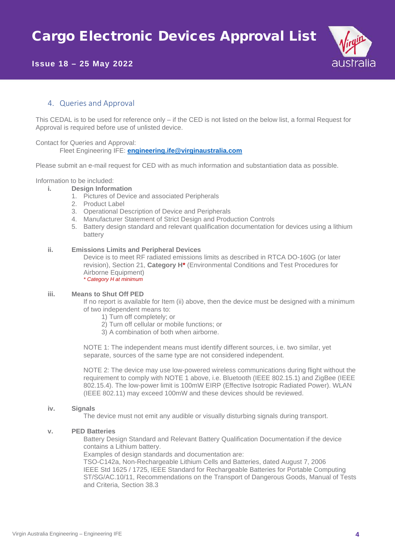

#### 4. Queries and Approval

This CEDAL is to be used for reference only – if the CED is not listed on the below list, a formal Request for Approval is required before use of unlisted device.

#### Contact for Queries and Approval:

Fleet Engineering IFE: **engineering.ife@virginaustralia.com**

Please submit an e-mail request for CED with as much information and substantiation data as possible.

# Information to be included:<br>i. Design Inform

- **i. Design Information**
	- 1. Pictures of Device and associated Peripherals
	- 2. Product Label
	- 3. Operational Description of Device and Peripherals
	- 4. Manufacturer Statement of Strict Design and Production Controls
	- 5. Battery design standard and relevant qualification documentation for devices using a lithium battery

#### **ii. Emissions Limits and Peripheral Devices**

Device is to meet RF radiated emissions limits as described in RTCA DO-160G (or later revision), Section 21, **Category H\*** (Environmental Conditions and Test Procedures for Airborne Equipment) *\* Category H at minimum*

#### **iii. Means to Shut Off PED**

If no report is available for Item (ii) above, then the device must be designed with a minimum of two independent means to:

- 1) Turn off completely; or
- 2) Turn off cellular or mobile functions; or
- 3) A combination of both when airborne.

NOTE 1: The independent means must identify different sources, i.e. two similar, yet separate, sources of the same type are not considered independent.

NOTE 2: The device may use low-powered wireless communications during flight without the requirement to comply with NOTE 1 above, i.e. Bluetooth (IEEE 802.15.1) and ZigBee (IEEE 802.15.4). The low-power limit is 100mW EIRP (Effective Isotropic Radiated Power). WLAN (IEEE 802.11) may exceed 100mW and these devices should be reviewed.

#### **iv. Signals**

The device must not emit any audible or visually disturbing signals during transport.

#### **v. PED Batteries**

Battery Design Standard and Relevant Battery Qualification Documentation if the device contains a Lithium battery.

Examples of design standards and documentation are:

TSO-C142a, Non-Rechargeable Lithium Cells and Batteries, dated August 7, 2006 IEEE Std 1625 / 1725, IEEE Standard for Rechargeable Batteries for Portable Computing ST/SG/AC.10/11, Recommendations on the Transport of Dangerous Goods, Manual of Tests and Criteria, Section 38.3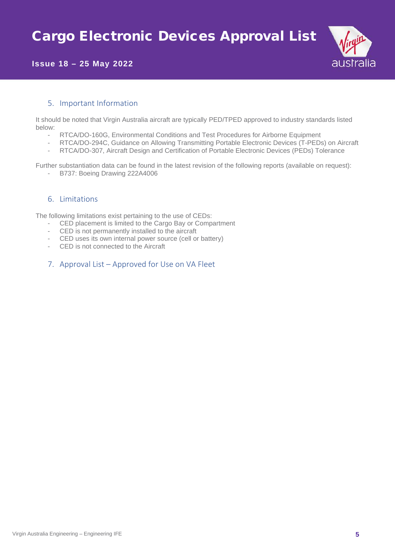

#### 5. Important Information

It should be noted that Virgin Australia aircraft are typically PED/TPED approved to industry standards listed below:

- RTCA/DO-160G, Environmental Conditions and Test Procedures for Airborne Equipment
- RTCA/DO-294C, Guidance on Allowing Transmitting Portable Electronic Devices (T-PEDs) on Aircraft
- RTCA/DO-307, Aircraft Design and Certification of Portable Electronic Devices (PEDs) Tolerance

Further substantiation data can be found in the latest revision of the following reports (available on request): - B737: Boeing Drawing 222A4006

#### 6. Limitations

The following limitations exist pertaining to the use of CEDs:

- CED placement is limited to the Cargo Bay or Compartment
- CED is not permanently installed to the aircraft
- CED uses its own internal power source (cell or battery)
- CED is not connected to the Aircraft
- 7. Approval List Approved for Use on VA Fleet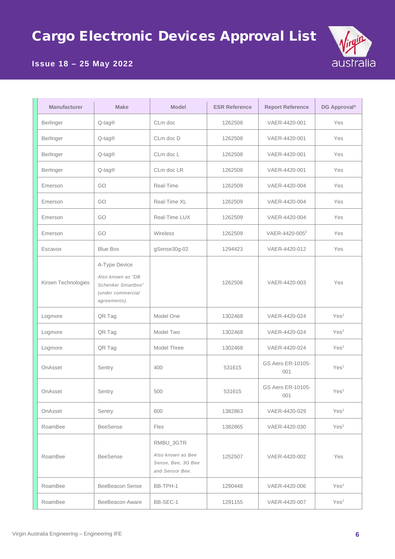

# **Issue 18 – 25 May 2022**

| <b>Manufacturer</b> | <b>Make</b>                                                                                   | <b>Model</b>                                                            | <b>ESR Reference</b> | <b>Report Reference</b>    | DG Approval*     |
|---------------------|-----------------------------------------------------------------------------------------------|-------------------------------------------------------------------------|----------------------|----------------------------|------------------|
| Berlinger           | Q-tag®                                                                                        | CLm doc                                                                 | 1262508              | VAER-4420-001              | Yes              |
| Berlinger           | Q-tag®                                                                                        | CLm doc D                                                               | 1262508              | VAER-4420-001              | Yes              |
| Berlinger           | Q-tag®                                                                                        | CLm doc L                                                               | 1262508              | VAER-4420-001              | Yes              |
| Berlinger           | $Q$ -tag $@$                                                                                  | CLm doc LR                                                              | 1262508              | VAER-4420-001              | Yes              |
| Emerson             | GO                                                                                            | Real-Time                                                               | 1262509              | VAER-4420-004              | Yes              |
| Emerson             | GO                                                                                            | Real-Time XL                                                            | 1262509              | VAER-4420-004              | Yes              |
| Emerson             | GO                                                                                            | Real-Time LUX                                                           | 1262509              | VAER-4420-004              | Yes              |
| Emerson             | GO                                                                                            | Wireless                                                                | 1262509              | VAER-4420-005 <sup>2</sup> | Yes              |
| Escavox             | <b>Blue Box</b>                                                                               | gSense30g-02                                                            | 1294423              | VAER-4420-012              | Yes              |
| Kirsen Technologies | A-Type Device<br>Also known as "DB<br>Schenker Smartbox"<br>(under commercial<br>agreements). |                                                                         | 1262506              | VAER-4420-003              | Yes              |
| Logmore             | QR Tag                                                                                        | Model One                                                               | 1302468              | VAER-4420-024              | Yes <sup>1</sup> |
| Logmore             | QR Tag                                                                                        | Model Two                                                               | 1302468              | VAER-4420-024              | Yes <sup>1</sup> |
| Logmore             | QR Tag                                                                                        | Model Three                                                             | 1302468              | VAER-4420-024              | Yes <sup>1</sup> |
| OnAsset             | Sentry                                                                                        | 400                                                                     | 531615               | GS Aero ER-10105-<br>001   | Yes <sup>1</sup> |
| OnAsset             | Sentry                                                                                        | 500                                                                     | 531615               | GS Aero ER-10105-<br>001   | Yes <sup>1</sup> |
| OnAsset             | Sentry                                                                                        | 600                                                                     | 1382863              | VAER-4420-029              | Yes <sup>1</sup> |
| RoamBee             | <b>BeeSense</b>                                                                               | Flex                                                                    | 1382865              | VAER-4420-030              | Yes <sup>1</sup> |
| RoamBee             | <b>BeeSense</b>                                                                               | RMBU_3GTR<br>Also known as Bee<br>Sense, Bee, 3G Bee<br>and Sensor Bee. | 1252507              | VAER-4420-002              | Yes              |
| RoamBee             | <b>BeeBeacon Sense</b>                                                                        | BB-TPH-1                                                                | 1290448              | VAER-4420-006              | Yes <sup>1</sup> |
| RoamBee             | BeeBeacon Aware                                                                               | BB-SEC-1                                                                | 1291155              | VAER-4420-007              | Yes <sup>1</sup> |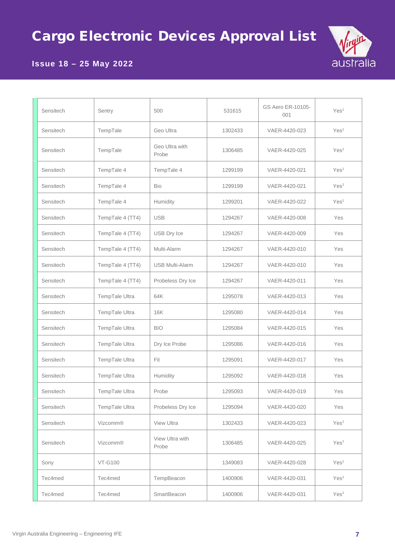

# **Issue 18 – 25 May 2022**

| Sensitech | Sentry           | 500                      | 531615  | GS Aero ER-10105-<br>001 | Yes <sup>1</sup> |
|-----------|------------------|--------------------------|---------|--------------------------|------------------|
| Sensitech | TempTale         | Geo Ultra                | 1302433 | VAER-4420-023            | Yes <sup>1</sup> |
| Sensitech | TempTale         | Geo Ultra with<br>Probe  | 1306485 | VAER-4420-025            | Yes <sup>1</sup> |
| Sensitech | TempTale 4       | TempTale 4               | 1299199 | VAER-4420-021            | Yes <sup>1</sup> |
| Sensitech | TempTale 4       | Bio                      | 1299199 | VAER-4420-021            | Yes <sup>1</sup> |
| Sensitech | TempTale 4       | Humidity                 | 1299201 | VAER-4420-022            | Yes <sup>1</sup> |
| Sensitech | TempTale 4 (TT4) | <b>USB</b>               | 1294267 | VAER-4420-008            | Yes              |
| Sensitech | TempTale 4 (TT4) | <b>USB Dry Ice</b>       | 1294267 | VAER-4420-009            | Yes              |
| Sensitech | TempTale 4 (TT4) | Multi-Alarm              | 1294267 | VAER-4420-010            | Yes              |
| Sensitech | TempTale 4 (TT4) | <b>USB Multi-Alarm</b>   | 1294267 | VAER-4420-010            | Yes              |
| Sensitech | TempTale 4 (TT4) | Probeless Dry Ice        | 1294267 | VAER-4420-011            | Yes              |
| Sensitech | TempTale Ultra   | 64K                      | 1295078 | VAER-4420-013            | Yes              |
| Sensitech | TempTale Ultra   | 16K                      | 1295080 | VAER-4420-014            | Yes              |
| Sensitech | TempTale Ultra   | <b>BIO</b>               | 1295084 | VAER-4420-015            | Yes              |
| Sensitech | TempTale Ultra   | Dry Ice Probe            | 1295086 | VAER-4420-016            | Yes              |
| Sensitech | TempTale Ultra   | Fit                      | 1295091 | VAER-4420-017            | Yes              |
| Sensitech | TempTale Ultra   | Humidity                 | 1295092 | VAER-4420-018            | Yes              |
| Sensitech | TempTale Ultra   | Probe                    | 1295093 | VAER-4420-019            | Yes              |
| Sensitech | TempTale Ultra   | Probeless Dry Ice        | 1295094 | VAER-4420-020            | Yes              |
| Sensitech | Vizcomm®         | View Ultra               | 1302433 | VAER-4420-023            | Yes <sup>1</sup> |
| Sensitech | Vizcomm®         | View Ultra with<br>Probe | 1306485 | VAER-4420-025            | Yes <sup>1</sup> |
| Sony      | <b>VT-G100</b>   |                          | 1349083 | VAER-4420-028            | Yes <sup>1</sup> |
| Tec4med   | Tec4med          | TempBeacon               | 1400906 | VAER-4420-031            | Yes <sup>1</sup> |
| Tec4med   | Tec4med          | SmartBeacon              | 1400906 | VAER-4420-031            | Yes <sup>1</sup> |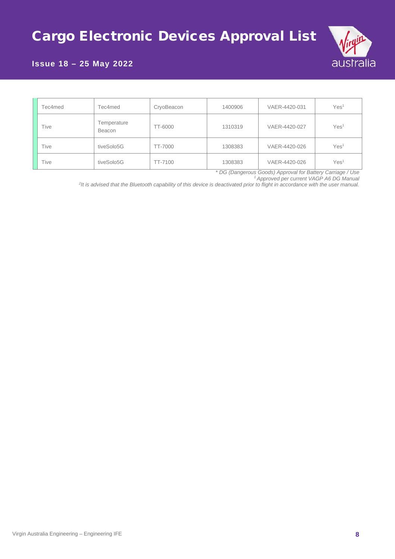

## **Issue 18 – 25 May 2022**

| Tec4med | Tec4med               | CryoBeacon | 1400906 | VAER-4420-031 | Yes <sup>1</sup> |
|---------|-----------------------|------------|---------|---------------|------------------|
| Tive    | Temperature<br>Beacon | TT-6000    | 1310319 | VAER-4420-027 | Yes <sup>1</sup> |
| Tive    | tiveSolo5G            | TT-7000    | 1308383 | VAER-4420-026 | Yes <sup>1</sup> |
| Tive    | tiveSolo5G            | TT-7100    | 1308383 | VAER-4420-026 | Yes <sup>1</sup> |

*\* DG (Dangerous Goods) Approval for Battery Carriage / Use*

*1 Approved per current VAGP A6 DG Manual*

*2 It is advised that the Bluetooth capability of this device is deactivated prior to flight in accordance with the user manual.*